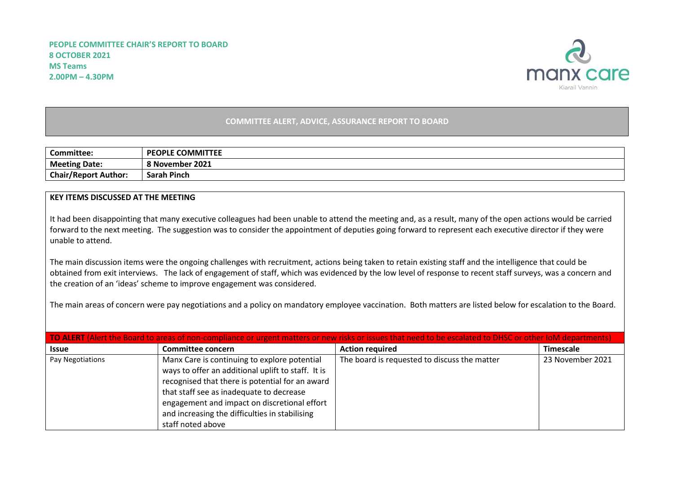

## **COMMITTEE ALERT, ADVICE, ASSURANCE REPORT TO BOARD**

| <b>Committee:</b>           | <b>PEOPLE COMMITTEE</b> |
|-----------------------------|-------------------------|
| <b>Meeting Date:</b>        | 8 November 2021         |
| <b>Chair/Report Author:</b> | <b>Sarah Pinch</b>      |

## **KEY ITEMS DISCUSSED AT THE MEETING**

It had been disappointing that many executive colleagues had been unable to attend the meeting and, as a result, many of the open actions would be carried forward to the next meeting. The suggestion was to consider the appointment of deputies going forward to represent each executive director if they were unable to attend.

The main discussion items were the ongoing challenges with recruitment, actions being taken to retain existing staff and the intelligence that could be obtained from exit interviews. The lack of engagement of staff, which was evidenced by the low level of response to recent staff surveys, was a concern and the creation of an 'ideas' scheme to improve engagement was considered.

The main areas of concern were pay negotiations and a policy on mandatory employee vaccination. Both matters are listed below for escalation to the Board.

| TO ALERT (Alert the Board to areas of non-compliance or urgent matters or new risks or issues that need to be escalated to DHSC or other IOM departments) |                                                                                                                                                                                                                                                                                                                          |                                              |                  |  |
|-----------------------------------------------------------------------------------------------------------------------------------------------------------|--------------------------------------------------------------------------------------------------------------------------------------------------------------------------------------------------------------------------------------------------------------------------------------------------------------------------|----------------------------------------------|------------------|--|
| <b>Issue</b>                                                                                                                                              | Committee concern                                                                                                                                                                                                                                                                                                        | <b>Action required</b>                       | Timescale        |  |
| Pay Negotiations                                                                                                                                          | Manx Care is continuing to explore potential<br>ways to offer an additional uplift to staff. It is<br>recognised that there is potential for an award<br>that staff see as inadequate to decrease<br>engagement and impact on discretional effort<br>and increasing the difficulties in stabilising<br>staff noted above | The board is requested to discuss the matter | 23 November 2021 |  |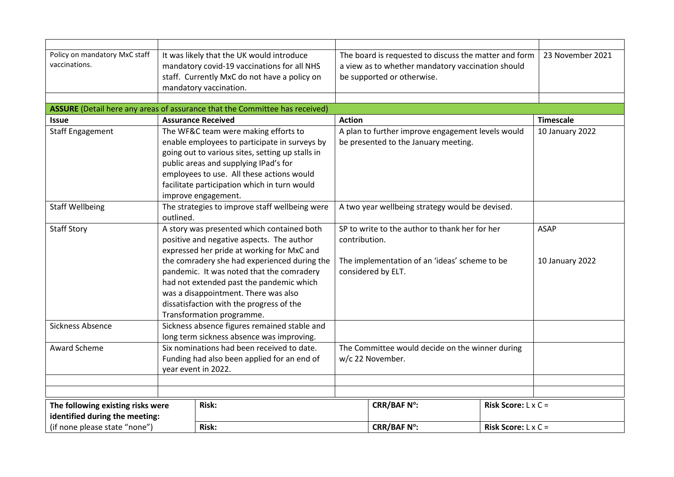| Policy on mandatory MxC staff                              |                                                                                               | It was likely that the UK would introduce                                   | The board is requested to discuss the matter and form |                                      |                            | 23 November 2021 |
|------------------------------------------------------------|-----------------------------------------------------------------------------------------------|-----------------------------------------------------------------------------|-------------------------------------------------------|--------------------------------------|----------------------------|------------------|
| vaccinations.                                              |                                                                                               | mandatory covid-19 vaccinations for all NHS                                 | a view as to whether mandatory vaccination should     |                                      |                            |                  |
|                                                            |                                                                                               | staff. Currently MxC do not have a policy on                                |                                                       | be supported or otherwise.           |                            |                  |
|                                                            |                                                                                               | mandatory vaccination.                                                      |                                                       |                                      |                            |                  |
|                                                            |                                                                                               |                                                                             |                                                       |                                      |                            |                  |
|                                                            |                                                                                               | ASSURE (Detail here any areas of assurance that the Committee has received) |                                                       |                                      |                            |                  |
| <b>Issue</b>                                               |                                                                                               | <b>Assurance Received</b>                                                   | <b>Action</b>                                         |                                      |                            | <b>Timescale</b> |
| <b>Staff Engagement</b>                                    |                                                                                               | The WF&C team were making efforts to                                        | A plan to further improve engagement levels would     |                                      |                            | 10 January 2022  |
|                                                            |                                                                                               | enable employees to participate in surveys by                               |                                                       | be presented to the January meeting. |                            |                  |
|                                                            |                                                                                               | going out to various sites, setting up stalls in                            |                                                       |                                      |                            |                  |
|                                                            |                                                                                               | public areas and supplying IPad's for                                       |                                                       |                                      |                            |                  |
|                                                            |                                                                                               | employees to use. All these actions would                                   |                                                       |                                      |                            |                  |
|                                                            |                                                                                               | facilitate participation which in turn would                                |                                                       |                                      |                            |                  |
|                                                            |                                                                                               | improve engagement.                                                         |                                                       |                                      |                            |                  |
| <b>Staff Wellbeing</b>                                     |                                                                                               | The strategies to improve staff wellbeing were                              | A two year wellbeing strategy would be devised.       |                                      |                            |                  |
|                                                            | outlined.                                                                                     |                                                                             |                                                       |                                      |                            |                  |
| <b>Staff Story</b>                                         |                                                                                               | A story was presented which contained both                                  | SP to write to the author to thank her for her        |                                      |                            | <b>ASAP</b>      |
|                                                            | positive and negative aspects. The author<br>contribution.                                    |                                                                             |                                                       |                                      |                            |                  |
|                                                            |                                                                                               | expressed her pride at working for MxC and                                  |                                                       |                                      |                            |                  |
|                                                            | the comradery she had experienced during the<br>The implementation of an 'ideas' scheme to be |                                                                             |                                                       | 10 January 2022                      |                            |                  |
|                                                            |                                                                                               | pandemic. It was noted that the comradery                                   |                                                       | considered by ELT.                   |                            |                  |
|                                                            |                                                                                               | had not extended past the pandemic which                                    |                                                       |                                      |                            |                  |
|                                                            |                                                                                               | was a disappointment. There was also                                        |                                                       |                                      |                            |                  |
|                                                            |                                                                                               | dissatisfaction with the progress of the                                    |                                                       |                                      |                            |                  |
|                                                            |                                                                                               | Transformation programme.                                                   |                                                       |                                      |                            |                  |
| Sickness Absence                                           |                                                                                               | Sickness absence figures remained stable and                                |                                                       |                                      |                            |                  |
|                                                            |                                                                                               | long term sickness absence was improving.                                   |                                                       |                                      |                            |                  |
| Six nominations had been received to date.<br>Award Scheme |                                                                                               | The Committee would decide on the winner during                             |                                                       |                                      |                            |                  |
|                                                            | Funding had also been applied for an end of                                                   |                                                                             | w/c 22 November.                                      |                                      |                            |                  |
|                                                            |                                                                                               | year event in 2022.                                                         |                                                       |                                      |                            |                  |
|                                                            |                                                                                               |                                                                             |                                                       |                                      |                            |                  |
|                                                            |                                                                                               |                                                                             |                                                       |                                      |                            |                  |
| Risk:<br>The following existing risks were                 |                                                                                               |                                                                             | <b>CRR/BAF Nº:</b>                                    | Risk Score: $L \times C =$           |                            |                  |
| identified during the meeting:                             |                                                                                               |                                                                             |                                                       |                                      |                            |                  |
| (if none please state "none")                              |                                                                                               | Risk:                                                                       |                                                       | <b>CRR/BAF N°:</b>                   | Risk Score: $L \times C =$ |                  |